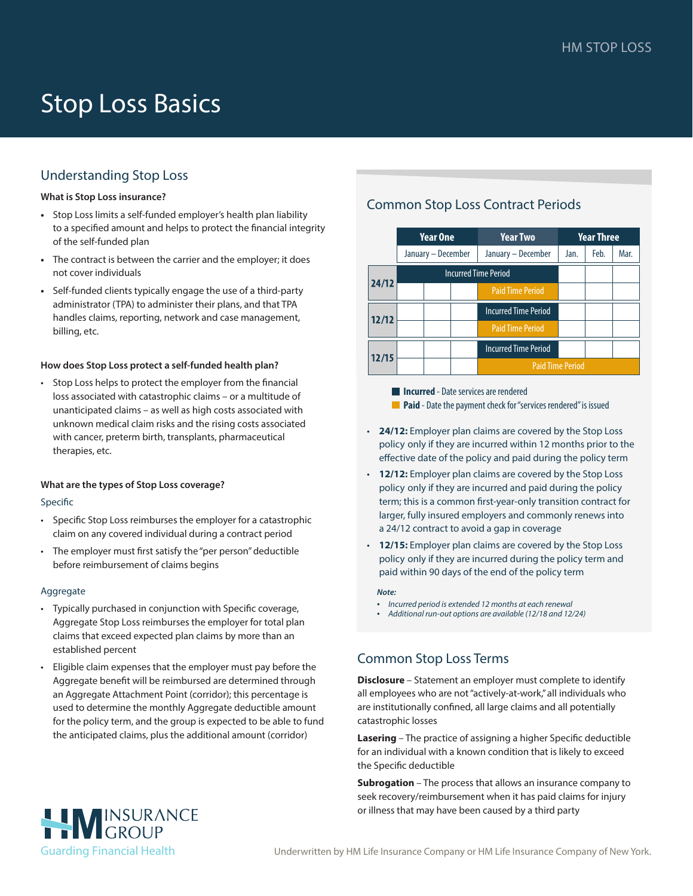# Stop Loss Basics

# Understanding Stop Loss

## **What is Stop Loss insurance?**

- **•** Stop Loss limits a self-funded employer's health plan liability to a specified amount and helps to protect the financial integrity of the self-funded plan
- **•** The contract is between the carrier and the employer; it does not cover individuals
- **•** Self-funded clients typically engage the use of a third-party administrator (TPA) to administer their plans, and that TPA handles claims, reporting, network and case management, billing, etc.

## **How does Stop Loss protect a self-funded health plan?**

Stop Loss helps to protect the employer from the financial loss associated with catastrophic claims – or a multitude of unanticipated claims – as well as high costs associated with unknown medical claim risks and the rising costs associated with cancer, preterm birth, transplants, pharmaceutical therapies, etc.

#### **What are the types of Stop Loss coverage?**

#### Specific

- Specific Stop Loss reimburses the employer for a catastrophic claim on any covered individual during a contract period
- The employer must first satisfy the "per person" deductible before reimbursement of claims begins

#### Aggregate

- Typically purchased in conjunction with Specific coverage, Aggregate Stop Loss reimburses the employer for total plan claims that exceed expected plan claims by more than an established percent
- Eligible claim expenses that the employer must pay before the Aggregate benefit will be reimbursed are determined through an Aggregate Attachment Point (corridor); this percentage is used to determine the monthly Aggregate deductible amount for the policy term, and the group is expected to be able to fund the anticipated claims, plus the additional amount (corridor)

## Common Stop Loss Contract Periods

|       | <b>Year One</b>             |  |  | Year Two                    | <b>Year Three</b>       |      |      |
|-------|-----------------------------|--|--|-----------------------------|-------------------------|------|------|
|       | January - December          |  |  | January - December          | Jan.                    | Feb. | Mar. |
| 24/12 | <b>Incurred Time Period</b> |  |  |                             |                         |      |      |
|       |                             |  |  | <b>Paid Time Period</b>     |                         |      |      |
| 12/12 |                             |  |  | <b>Incurred Time Period</b> |                         |      |      |
|       |                             |  |  | <b>Paid Time Period</b>     |                         |      |      |
| 12/15 |                             |  |  | <b>Incurred Time Period</b> |                         |      |      |
|       |                             |  |  |                             | <b>Paid Time Period</b> |      |      |

**Incurred** - Date services are rendered **Paid** - Date the payment check for "services rendered" is issued

- **24/12:** Employer plan claims are covered by the Stop Loss policy only if they are incurred within 12 months prior to the effective date of the policy and paid during the policy term
- **12/12:** Employer plan claims are covered by the Stop Loss policy only if they are incurred and paid during the policy term; this is a common first-year-only transition contract for larger, fully insured employers and commonly renews into a 24/12 contract to avoid a gap in coverage
- **12/15:** Employer plan claims are covered by the Stop Loss policy only if they are incurred during the policy term and paid within 90 days of the end of the policy term

#### *Note:*

- *Incurred period is extended 12 months at each renewal*
- *Additional run-out options are available (12/18 and 12/24)*

## Common Stop Loss Terms

**Disclosure** – Statement an employer must complete to identify all employees who are not "actively-at-work," all individuals who are institutionally confined, all large claims and all potentially catastrophic losses

**Lasering** – The practice of assigning a higher Specific deductible for an individual with a known condition that is likely to exceed the Specific deductible

**Subrogation** – The process that allows an insurance company to seek recovery/reimbursement when it has paid claims for injury or illness that may have been caused by a third party